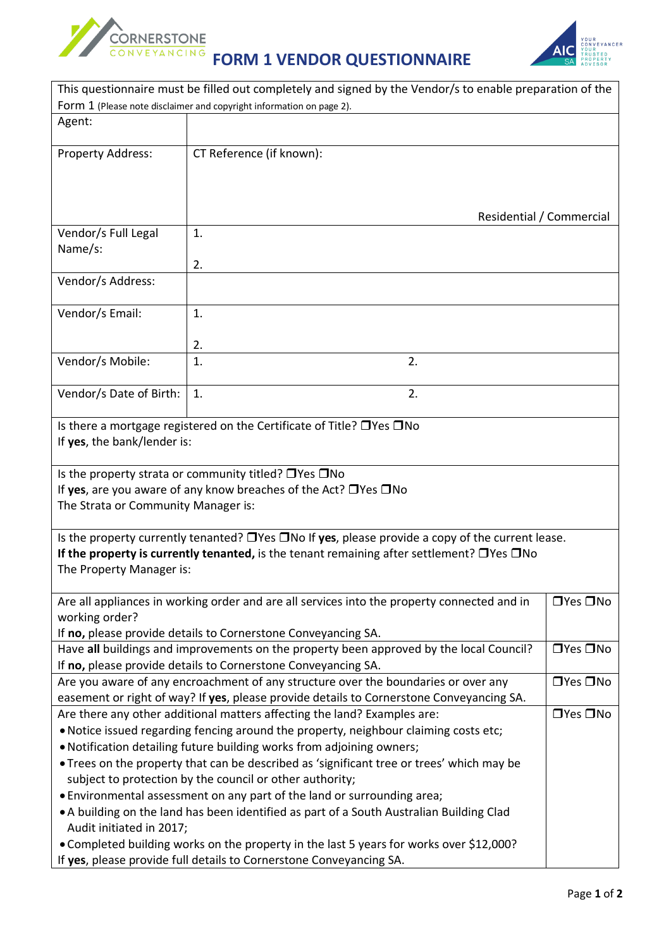

## **FORM 1 VENDOR QUESTIONNAIRE**



|                                                                                                                      | This questionnaire must be filled out completely and signed by the Vendor/s to enable preparation of the                                        |                      |  |  |  |
|----------------------------------------------------------------------------------------------------------------------|-------------------------------------------------------------------------------------------------------------------------------------------------|----------------------|--|--|--|
|                                                                                                                      | Form 1 (Please note disclaimer and copyright information on page 2).                                                                            |                      |  |  |  |
| Agent:                                                                                                               |                                                                                                                                                 |                      |  |  |  |
| Property Address:                                                                                                    | CT Reference (if known):                                                                                                                        |                      |  |  |  |
|                                                                                                                      | Residential / Commercial                                                                                                                        |                      |  |  |  |
| Vendor/s Full Legal                                                                                                  | 1.                                                                                                                                              |                      |  |  |  |
| Name/s:                                                                                                              |                                                                                                                                                 |                      |  |  |  |
|                                                                                                                      | 2.                                                                                                                                              |                      |  |  |  |
| Vendor/s Address:                                                                                                    |                                                                                                                                                 |                      |  |  |  |
| Vendor/s Email:                                                                                                      | 1.                                                                                                                                              |                      |  |  |  |
|                                                                                                                      | 2.                                                                                                                                              |                      |  |  |  |
| Vendor/s Mobile:                                                                                                     | 1.<br>2.                                                                                                                                        |                      |  |  |  |
| Vendor/s Date of Birth:                                                                                              | 2.<br>1.                                                                                                                                        |                      |  |  |  |
| The Strata or Community Manager is:                                                                                  | Is the property strata or community titled? $\Box$ Yes $\Box$ No<br>If yes, are you aware of any know breaches of the Act? $\Box$ Yes $\Box$ No |                      |  |  |  |
| Is the property currently tenanted? $\Box$ Yes $\Box$ No If yes, please provide a copy of the current lease.         |                                                                                                                                                 |                      |  |  |  |
| If the property is currently tenanted, is the tenant remaining after settlement? $\Box$ Yes $\Box$ No                |                                                                                                                                                 |                      |  |  |  |
| The Property Manager is:                                                                                             |                                                                                                                                                 |                      |  |  |  |
|                                                                                                                      |                                                                                                                                                 |                      |  |  |  |
|                                                                                                                      | Are all appliances in working order and are all services into the property connected and in                                                     | $\Box$ Yes $\Box$ No |  |  |  |
| working order?                                                                                                       |                                                                                                                                                 |                      |  |  |  |
| If no, please provide details to Cornerstone Conveyancing SA.                                                        |                                                                                                                                                 |                      |  |  |  |
| $\Box$ Yes $\Box$ No<br>Have all buildings and improvements on the property been approved by the local Council?      |                                                                                                                                                 |                      |  |  |  |
| If no, please provide details to Cornerstone Conveyancing SA.                                                        |                                                                                                                                                 |                      |  |  |  |
| □Yes □No<br>Are you aware of any encroachment of any structure over the boundaries or over any                       |                                                                                                                                                 |                      |  |  |  |
| easement or right of way? If yes, please provide details to Cornerstone Conveyancing SA.                             |                                                                                                                                                 |                      |  |  |  |
| $\Box$ Yes $\Box$ No<br>Are there any other additional matters affecting the land? Examples are:                     |                                                                                                                                                 |                      |  |  |  |
| . Notice issued regarding fencing around the property, neighbour claiming costs etc;                                 |                                                                                                                                                 |                      |  |  |  |
| . Notification detailing future building works from adjoining owners;                                                |                                                                                                                                                 |                      |  |  |  |
| • Trees on the property that can be described as 'significant tree or trees' which may be                            |                                                                                                                                                 |                      |  |  |  |
| subject to protection by the council or other authority;                                                             |                                                                                                                                                 |                      |  |  |  |
| . Environmental assessment on any part of the land or surrounding area;                                              |                                                                                                                                                 |                      |  |  |  |
| • A building on the land has been identified as part of a South Australian Building Clad<br>Audit initiated in 2017; |                                                                                                                                                 |                      |  |  |  |
| • Completed building works on the property in the last 5 years for works over \$12,000?                              |                                                                                                                                                 |                      |  |  |  |
| If yes, please provide full details to Cornerstone Conveyancing SA.                                                  |                                                                                                                                                 |                      |  |  |  |

 $\overline{\phantom{0}}$